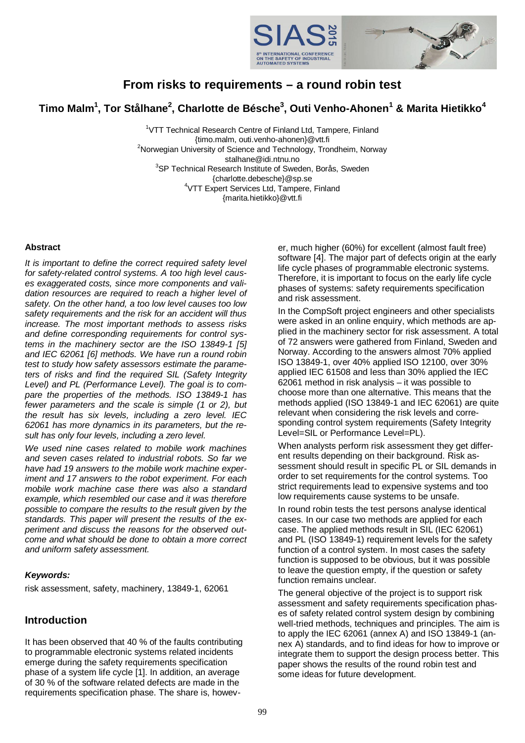

# **From risks to requirements – a round robin test**

**Timo Malm<sup>1</sup> , Tor Stålhane<sup>2</sup> , Charlotte de Bésche<sup>3</sup> , Outi Venho-Ahonen<sup>1</sup> & Marita Hietikko<sup>4</sup>**

<sup>1</sup>VTT Technical Research Centre of Finland Ltd, Tampere, Finland {timo.malm, outi.venho-ahonen}@vtt.fi <sup>2</sup>Norwegian University of Science and Technology, Trondheim, Norway stalhane@idi.ntnu.no <sup>3</sup>SP Technical Research Institute of Sweden, Borås, Sweden [{charlotte.debesche}@sp.se](mailto:{charlotte.debesche}@sp.se) <sup>4</sup>VTT Expert Services Ltd, Tampere, Finland {marita.hietikko}@vtt.fi

#### **Abstract**

*It is important to define the correct required safety level for safety-related control systems. A too high level causes exaggerated costs, since more components and validation resources are required to reach a higher level of safety. On the other hand, a too low level causes too low safety requirements and the risk for an accident will thus increase. The most important methods to assess risks and define corresponding requirements for control systems in the machinery sector are the ISO 13849-1 [\[5\]](#page-8-0) and IEC 62061 [\[6\]](#page-8-1) methods. We have run a round robin test to study how safety assessors estimate the parameters of risks and find the required SIL (Safety Integrity Level) and PL (Performance Level). The goal is to compare the properties of the methods. ISO 13849-1 has fewer parameters and the scale is simple (1 or 2), but the result has six levels, including a zero level. IEC 62061 has more dynamics in its parameters, but the result has only four levels, including a zero level.*

*We used nine cases related to mobile work machines and seven cases related to industrial robots. So far we have had 19 answers to the mobile work machine experiment and 17 answers to the robot experiment. For each mobile work machine case there was also a standard example, which resembled our case and it was therefore possible to compare the results to the result given by the standards. This paper will present the results of the experiment and discuss the reasons for the observed outcome and what should be done to obtain a more correct and uniform safety assessment.*

#### *Keywords:*

risk assessment, safety, machinery, 13849-1, 62061

### **Introduction**

It has been observed that 40 % of the faults contributing to programmable electronic systems related incidents emerge during the safety requirements specification phase of a system life cycle [\[1\].](#page-8-2) In addition, an average of 30 % of the software related defects are made in the requirements specification phase. The share is, however, much higher (60%) for excellent (almost fault free) software [\[4\]](#page-8-3). The major part of defects origin at the early life cycle phases of programmable electronic systems. Therefore, it is important to focus on the early life cycle phases of systems: safety requirements specification and risk assessment.

In the CompSoft project engineers and other specialists were asked in an online enquiry, which methods are applied in the machinery sector for risk assessment. A total of 72 answers were gathered from Finland, Sweden and Norway. According to the answers almost 70% applied ISO 13849-1, over 40% applied ISO 12100, over 30% applied IEC 61508 and less than 30% applied the IEC 62061 method in risk analysis – it was possible to choose more than one alternative. This means that the methods applied (ISO 13849-1 and IEC 62061) are quite relevant when considering the risk levels and corresponding control system requirements (Safety Integrity Level=SIL or Performance Level=PL).

When analysts perform risk assessment they get different results depending on their background. Risk assessment should result in specific PL or SIL demands in order to set requirements for the control systems. Too strict requirements lead to expensive systems and too low requirements cause systems to be unsafe.

In round robin tests the test persons analyse identical cases. In our case two methods are applied for each case. The applied methods result in SIL (IEC 62061) and PL (ISO 13849-1) requirement levels for the safety function of a control system. In most cases the safety function is supposed to be obvious, but it was possible to leave the question empty, if the question or safety function remains unclear.

The general objective of the project is to support risk assessment and safety requirements specification phases of safety related control system design by combining well-tried methods, techniques and principles. The aim is to apply the IEC 62061 (annex A) and ISO 13849-1 (annex A) standards, and to find ideas for how to improve or integrate them to support the design process better. This paper shows the results of the round robin test and some ideas for future development.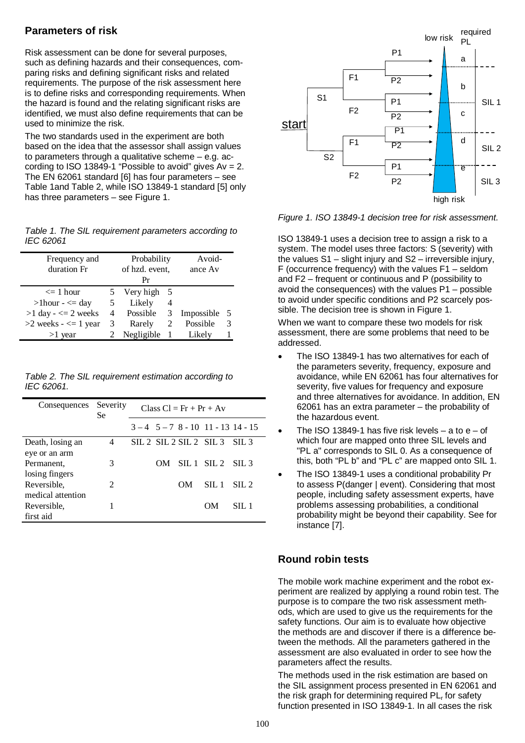## **Parameters of risk**

Risk assessment can be done for several purposes, such as defining hazards and their consequences, comparing risks and defining significant risks and related requirements. The purpose of the risk assessment here is to define risks and corresponding requirements. When the hazard is found and the relating significant risks are identified, we must also define requirements that can be used to minimize the risk.

The two standards used in the experiment are both based on the idea that the assessor shall assign values to parameters through a qualitative scheme – e.g. according to ISO 13849-1 "Possible to avoid" gives  $Av = 2$ . The EN 62061 standard [\[6\]](#page-8-1) has four parameters – see [Table 1a](#page-1-0)nd [Table 2,](#page-1-1) while ISO 13849-1 standard [\[5\]](#page-8-0) only has three parameters – see [Figure 1](#page-1-2).

<span id="page-1-0"></span>*Table 1. The SIL requirement parameters according to IEC 62061*

| Frequency and<br>duration Fr |   | Probability<br>of hzd. event,<br>Pr |          | Avoid-<br>ance Av |    |
|------------------------------|---|-------------------------------------|----------|-------------------|----|
| $\leq$ 1 hour                |   | Very high                           | - 5      |                   |    |
| $>1$ hour - $\leq$ day       | 5 | Likely                              | 4        |                   |    |
| $>1$ day - $\leq$ 2 weeks    |   | 4 Possible 3                        |          | Impossible        | -5 |
| $>2$ weeks $\leq$ 1 year     | 3 | Rarely                              | 2        | Possible          | 3  |
| $>1$ year                    |   | Negligible                          | $\sim 1$ | Likely            |    |

<span id="page-1-1"></span>*Table 2. The SIL requirement estimation according to IEC 62061.*

| Consequences      | Severity<br>Se | $Class Cl = Fr + Pr + Av$ |    |                      |                                    |                  |
|-------------------|----------------|---------------------------|----|----------------------|------------------------------------|------------------|
|                   |                |                           |    |                      | $3-4$ $5-7$ $8-10$ $11-13$ $14-15$ |                  |
| Death, losing an  | 4              |                           |    | SIL 2 SL 2 SL 2 SL 3 |                                    | SII.3            |
| eye or an arm     |                |                           |    |                      |                                    |                  |
| Permanent,        | 3              |                           | OМ | $SIL1$ $SIL2$        |                                    | SIL <sub>3</sub> |
| losing fingers    |                |                           |    |                      |                                    |                  |
| Reversible,       | $\overline{2}$ |                           |    | <b>OM</b>            | SIL 1                              | $\text{SII}.2$   |
| medical attention |                |                           |    |                      |                                    |                  |
| Reversible.       |                |                           |    |                      | OМ                                 | SIL 1            |
| first aid         |                |                           |    |                      |                                    |                  |



<span id="page-1-2"></span>*Figure 1. ISO 13849-1 decision tree for risk assessment.*

ISO 13849-1 uses a decision tree to assign a risk to a system. The model uses three factors: S (severity) with the values S1 – slight injury and S2 – irreversible injury, F (occurrence frequency) with the values F1 – seldom and F2 – frequent or continuous and P (possibility to avoid the consequences) with the values P1 – possible to avoid under specific conditions and P2 scarcely possible. The decision tree is shown in [Figure 1](#page-1-2).

When we want to compare these two models for risk assessment, there are some problems that need to be addressed.

- The ISO 13849-1 has two alternatives for each of the parameters severity, frequency, exposure and avoidance, while EN 62061 has four alternatives for severity, five values for frequency and exposure and three alternatives for avoidance. In addition, EN 62061 has an extra parameter – the probability of the hazardous event.
- The ISO 13849-1 has five risk levels a to  $e$  of which four are mapped onto three SIL levels and "PL a" corresponds to SIL 0. As a consequence of this, both "PL b" and "PL c" are mapped onto SIL 1.
- The ISO 13849-1 uses a conditional probability Pr to assess P(danger | event). Considering that most people, including safety assessment experts, have problems assessing probabilities, a conditional probability might be beyond their capability. See for instance [\[7\]](#page-8-4).

## **Round robin tests**

The mobile work machine experiment and the robot experiment are realized by applying a round robin test. The purpose is to compare the two risk assessment methods, which are used to give us the requirements for the safety functions. Our aim is to evaluate how objective the methods are and discover if there is a difference between the methods. All the parameters gathered in the assessment are also evaluated in order to see how the parameters affect the results.

The methods used in the risk estimation are based on the SIL assignment process presented in EN 62061 and the risk graph for determining required PL<sub>r</sub> for safety function presented in ISO 13849-1. In all cases the risk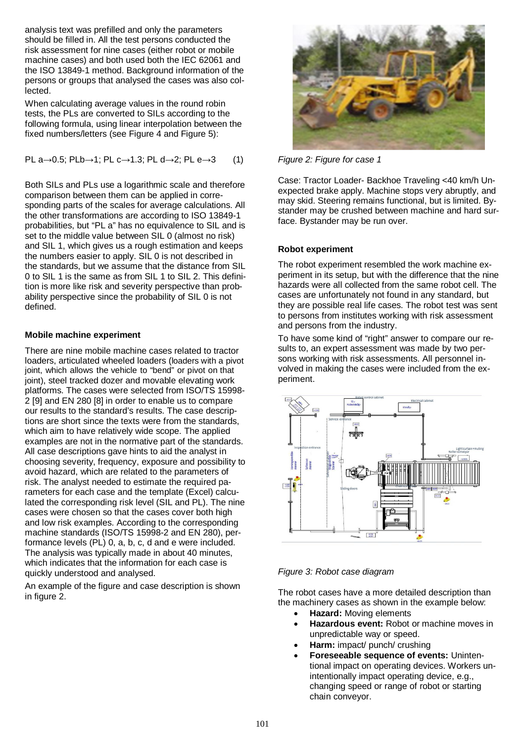analysis text was prefilled and only the parameters should be filled in. All the test persons conducted the risk assessment for nine cases (either robot or mobile machine cases) and both used both the IEC 62061 and the ISO 13849-1 method. Background information of the persons or groups that analysed the cases was also collected.

When calculating average values in the round robin tests, the PLs are converted to SILs according to the following formula, using linear interpolation between the fixed numbers/letters (see [Figure 4](#page-3-0) and [Figure 5\)](#page-4-0):

$$
\mathsf{PL} \; a \rightarrow 0.5; \; \mathsf{PLb} \rightarrow 1; \; \mathsf{PL} \; c \rightarrow 1.3; \; \mathsf{PL} \; d \rightarrow 2; \; \mathsf{PL} \; e \rightarrow 3 \qquad (1)
$$

Both SILs and PLs use a logarithmic scale and therefore comparison between them can be applied in corresponding parts of the scales for average calculations. All the other transformations are according to ISO 13849-1 probabilities, but "PL a" has no equivalence to SIL and is set to the middle value between SIL 0 (almost no risk) and SIL 1, which gives us a rough estimation and keeps the numbers easier to apply. SIL 0 is not described in the standards, but we assume that the distance from SIL 0 to SIL 1 is the same as from SIL 1 to SIL 2. This definition is more like risk and severity perspective than probability perspective since the probability of SIL 0 is not defined.

#### **Mobile machine experiment**

There are nine mobile machine cases related to tractor loaders, articulated wheeled loaders (loaders with a pivot joint, which allows the vehicle to "bend" or pivot on that joint), steel tracked dozer and movable elevating work platforms. The cases were selected from ISO/TS 15998- 2 [\[9\]](#page-8-5) and EN 280 [\[8\]](#page-8-6) in order to enable us to compare our results to the standard's results. The case descriptions are short since the texts were from the standards, which aim to have relatively wide scope. The applied examples are not in the normative part of the standards. All case descriptions gave hints to aid the analyst in choosing severity, frequency, exposure and possibility to avoid hazard, which are related to the parameters of risk. The analyst needed to estimate the required parameters for each case and the template (Excel) calculated the corresponding risk level (SIL and PL). The nine cases were chosen so that the cases cover both high and low risk examples. According to the corresponding machine standards (ISO/TS 15998-2 and EN 280), performance levels (PL) 0, a, b, c, d and e were included. The analysis was typically made in about 40 minutes, which indicates that the information for each case is quickly understood and analysed.

An example of the figure and case description is shown in figure 2.



*Figure 2: Figure for case 1*

Case: Tractor Loader- Backhoe Traveling <40 km/h Unexpected brake apply. Machine stops very abruptly, and may skid. Steering remains functional, but is limited. Bystander may be crushed between machine and hard surface. Bystander may be run over.

#### **Robot experiment**

The robot experiment resembled the work machine experiment in its setup, but with the difference that the nine hazards were all collected from the same robot cell. The cases are unfortunately not found in any standard, but they are possible real life cases. The robot test was sent to persons from institutes working with risk assessment and persons from the industry.

To have some kind of "right" answer to compare our results to, an expert assessment was made by two persons working with risk assessments. All personnel involved in making the cases were included from the experiment.



#### *Figure 3: Robot case diagram*

The robot cases have a more detailed description than the machinery cases as shown in the example below:

- **Hazard:** Moving elements
- **Hazardous event:** Robot or machine moves in unpredictable way or speed.
- Harm: impact/ punch/ crushing
- x **Foreseeable sequence of events:** Unintentional impact on operating devices. Workers unintentionally impact operating device, e.g., changing speed or range of robot or starting chain conveyor.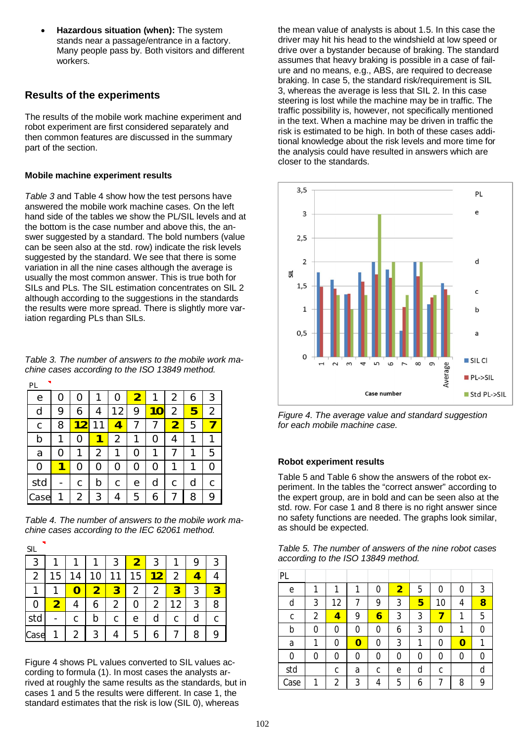**Hazardous situation (when):** The system stands near a passage/entrance in a factory. Many people pass by. Both visitors and different workers.

## **Results of the experiments**

The results of the mobile work machine experiment and robot experiment are first considered separately and then common features are discussed in the summary part of the section.

#### **Mobile machine experiment results**

*[Table 3](#page-3-1)* and [Table 4](#page-3-2) show how the test persons have answered the mobile work machine cases. On the left hand side of the tables we show the PL/SIL levels and at the bottom is the case number and above this, the answer suggested by a standard. The bold numbers (value can be seen also at the std. row) indicate the risk levels suggested by the standard. We see that there is some variation in all the nine cases although the average is usually the most common answer. This is true both for SILs and PLs. The SIL estimation concentrates on SIL 2 although according to the suggestions in the standards the results were more spread. There is slightly more variation regarding PLs than SILs.

<span id="page-3-1"></span>*Table 3. The number of answers to the mobile work machine cases according to the ISO 13849 method.*

| PL           |   |                     |        |    |                         |   |                |   |                |
|--------------|---|---------------------|--------|----|-------------------------|---|----------------|---|----------------|
| $\mathsf{e}$ | 0 | Ω                   |        | Ω  | $\overline{\mathbf{2}}$ |   | 2              | 6 | 3              |
| d            | 9 | 6                   | 4      | 12 | 9                       | O | $\overline{2}$ | 5 | $\overline{2}$ |
| $\mathsf{C}$ | 8 | $\overline{2}$<br>1 | 1<br>1 | 4  | 7                       |   | $\overline{2}$ | 5 | 7              |
| b            | 1 | O                   | 1      | 2  | 1                       | O | 4              | 1 | 1              |
| a            | Ω | 1                   | 2      | 1  | 0                       | 1 | 7              | 1 | 5              |
| 0            |   | O                   | Ω      | 0  | 0                       | Ω | 1              |   | 0              |
| std          |   | C                   | b      | C  | е                       | d | C              | d | C              |
| Case         |   | 2                   | 3      | 4  | 5                       | 6 |                | 8 | 9              |

<span id="page-3-2"></span>*Table 4. The number of answers to the mobile work machine cases according to the IEC 62061 method.*

| ۰,<br>× |  |
|---------|--|
| $\sim$  |  |

| 3    |   |   |    | 3      |    |    |    |   | 3 |
|------|---|---|----|--------|----|----|----|---|---|
| 2    | 5 | 4 | 10 | 1<br>1 | 15 | 12 | 2  |   |   |
|      |   |   |    | 3      |    |    | 8  | 3 | ર |
| 0    |   |   | 6  | 2      | 0  | 2  | 12 | 3 | 8 |
| std  |   |   | b  | С      | е  | d  | С  | d |   |
| Case |   | 2 | 3  |        | 5  | 6  |    | 8 | 9 |

[Figure 4](#page-3-0) shows PL values converted to SIL values according to formula (1). In most cases the analysts arrived at roughly the same results as the standards, but in cases 1 and 5 the results were different. In case 1, the standard estimates that the risk is low (SIL 0), whereas

the mean value of analysts is about 1.5. In this case the driver may hit his head to the windshield at low speed or drive over a bystander because of braking. The standard assumes that heavy braking is possible in a case of failure and no means, e.g., ABS, are required to decrease braking. In case 5, the standard risk/requirement is SIL 3, whereas the average is less that SIL 2. In this case steering is lost while the machine may be in traffic. The traffic possibility is, however, not specifically mentioned in the text. When a machine may be driven in traffic the risk is estimated to be high. In both of these cases additional knowledge about the risk levels and more time for the analysis could have resulted in answers which are closer to the standards.



<span id="page-3-0"></span>*Figure 4. The average value and standard suggestion for each mobile machine case.*

#### **Robot experiment results**

[Table 5](#page-3-3) and [Table 6](#page-4-1) show the answers of the robot experiment. In the tables the "correct answer" according to the expert group, are in bold and can be seen also at the std. row. For case 1 and 8 there is no right answer since no safety functions are needed. The graphs look similar, as should be expected.

<span id="page-3-3"></span>

|  |                                    | Table 5. The number of answers of the nine robot cases |
|--|------------------------------------|--------------------------------------------------------|
|  | according to the ISO 13849 method. |                                                        |

| PL   |   |    |   |               |                |   |    |   |   |
|------|---|----|---|---------------|----------------|---|----|---|---|
| e    |   |    |   | $\mathcal{O}$ | $\overline{2}$ | 5 | 0  | 0 | 3 |
| d    | 3 | 12 |   | 9             | 3              | 5 | 10 | 4 | 8 |
| С    | 2 | 4  | 9 | 6             | 3              | 3 |    | 1 | 5 |
| b    | 0 | 0  | 0 | ი             | 6              | 3 | 0  | 1 | 0 |
| a    |   | 0  | 0 | 0             | 3              | 1 | 0  | 0 | 1 |
| 0    | 0 | 0  | 0 | 0             | 0              | 0 | 0  | 0 | 0 |
| std  |   | C  | a | C             | e              | d | C  |   | d |
| Case |   | 2  | 3 | 4             | 5              | 6 |    | 8 | 9 |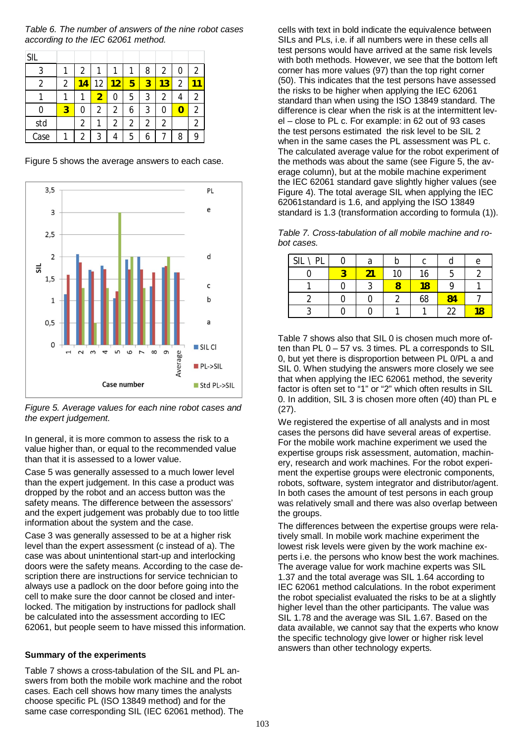<span id="page-4-1"></span>*Table 6. The number of answers of the nine robot cases according to the IEC 62061 method.*

| SIL  |   |   |    |    |   |   |    |   |                |
|------|---|---|----|----|---|---|----|---|----------------|
| 3    |   | 2 |    |    |   | 8 | 2  | 0 | 2              |
| 2    | 2 |   | 12 | 12 | 5 | 3 | 13 | 2 |                |
|      |   |   | 2  | 0  | 5 | 3 | 2  |   | 2              |
| 0    | 3 | 0 | 2  | 2  | 6 | 3 | 0  |   | $\mathfrak{p}$ |
| std  |   | 2 |    | 2  | 2 | 2 | 2  |   | 2              |
| Case |   | 2 | 3  |    | 5 |   |    | 8 |                |

[Figure 5](#page-4-0) shows the average answers to each case.



<span id="page-4-0"></span>*Figure 5. Average values for each nine robot cases and the expert judgement.*

In general, it is more common to assess the risk to a value higher than, or equal to the recommended value than that it is assessed to a lower value.

Case 5 was generally assessed to a much lower level than the expert judgement. In this case a product was dropped by the robot and an access button was the safety means. The difference between the assessors' and the expert judgement was probably due to too little information about the system and the case.

Case 3 was generally assessed to be at a higher risk level than the expert assessment (c instead of a). The case was about unintentional start-up and interlocking doors were the safety means. According to the case description there are instructions for service technician to always use a padlock on the door before going into the cell to make sure the door cannot be closed and interlocked. The mitigation by instructions for padlock shall be calculated into the assessment according to IEC 62061, but people seem to have missed this information.

#### **Summary of the experiments**

[Table 7](#page-4-2) shows a cross-tabulation of the SIL and PL answers from both the mobile work machine and the robot cases. Each cell shows how many times the analysts choose specific PL (ISO 13849 method) and for the same case corresponding SIL (IEC 62061 method). The cells with text in bold indicate the equivalence between SILs and PLs, i.e. if all numbers were in these cells all test persons would have arrived at the same risk levels with both methods. However, we see that the bottom left corner has more values (97) than the top right corner (50). This indicates that the test persons have assessed the risks to be higher when applying the IEC 62061 standard than when using the ISO 13849 standard. The difference is clear when the risk is at the intermittent level – close to PL c. For example: in 62 out of 93 cases the test persons estimated the risk level to be SIL 2 when in the same cases the PL assessment was PL c. The calculated average value for the robot experiment of the methods was about the same (see [Figure 5](#page-4-0), the average column), but at the mobile machine experiment the IEC 62061 standard gave slightly higher values (see [Figure 4](#page-3-0)). The total average SIL when applying the IEC 62061standard is 1.6, and applying the ISO 13849 standard is 1.3 (transformation according to formula (1)).

<span id="page-4-2"></span>*Table 7. Cross-tabulation of all mobile machine and robot cases.*

| SIL \ PL | a |    | C  |    | е   |
|----------|---|----|----|----|-----|
|          |   | 10 | 16 |    |     |
|          | ◠ |    | 18 | Ω  |     |
|          |   |    | 68 | 84 |     |
|          |   |    |    | 22 | 1 0 |

[Table 7](#page-4-2) shows also that SIL 0 is chosen much more often than PL 0 – 57 vs. 3 times. PL a corresponds to SIL 0, but yet there is disproportion between PL 0/PL a and SIL 0. When studying the answers more closely we see that when applying the IEC 62061 method, the severity factor is often set to "1" or "2" which often results in SIL 0. In addition, SIL 3 is chosen more often (40) than PL e (27).

We registered the expertise of all analysts and in most cases the persons did have several areas of expertise. For the mobile work machine experiment we used the expertise groups risk assessment, automation, machinery, research and work machines. For the robot experiment the expertise groups were electronic components, robots, software, system integrator and distributor/agent. In both cases the amount of test persons in each group was relatively small and there was also overlap between the groups.

The differences between the expertise groups were relatively small. In mobile work machine experiment the lowest risk levels were given by the work machine experts i.e. the persons who know best the work machines. The average value for work machine experts was SIL 1.37 and the total average was SIL 1.64 according to IEC 62061 method calculations. In the robot experiment the robot specialist evaluated the risks to be at a slightly higher level than the other participants. The value was SIL 1.78 and the average was SIL 1.67. Based on the data available, we cannot say that the experts who know the specific technology give lower or higher risk level answers than other technology experts.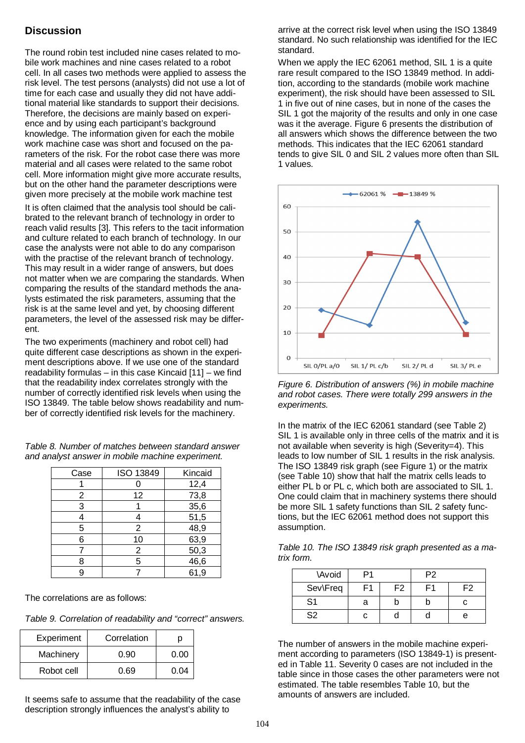## **Discussion**

The round robin test included nine cases related to mobile work machines and nine cases related to a robot cell. In all cases two methods were applied to assess the risk level. The test persons (analysts) did not use a lot of time for each case and usually they did not have additional material like standards to support their decisions. Therefore, the decisions are mainly based on experience and by using each participant's background knowledge. The information given for each the mobile work machine case was short and focused on the parameters of the risk. For the robot case there was more material and all cases were related to the same robot cell. More information might give more accurate results, but on the other hand the parameter descriptions were given more precisely at the mobile work machine test

It is often claimed that the analysis tool should be calibrated to the relevant branch of technology in order to reach valid results [\[3\].](#page-8-7) This refers to the tacit information and culture related to each branch of technology. In our case the analysts were not able to do any comparison with the practise of the relevant branch of technology. This may result in a wider range of answers, but does not matter when we are comparing the standards. When comparing the results of the standard methods the analysts estimated the risk parameters, assuming that the risk is at the same level and yet, by choosing different parameters, the level of the assessed risk may be different.

The two experiments (machinery and robot cell) had quite different case descriptions as shown in the experiment descriptions above. If we use one of the standard readability formulas – in this case Kincaid [\[11\]](#page-8-8) – we find that the readability index correlates strongly with the number of correctly identified risk levels when using the ISO 13849. The table below shows readability and number of correctly identified risk levels for the machinery.

*Table 8. Number of matches between standard answer and analyst answer in mobile machine experiment.*

| Case | ISO 13849      | Kincaid |
|------|----------------|---------|
|      |                | 12,4    |
| 2    | 12             | 73,8    |
| 3    |                | 35,6    |
|      |                | 51,5    |
| 5    | 2              | 48,9    |
| 6    | 10             | 63,9    |
|      | $\overline{2}$ | 50,3    |
|      | 5              | 46,6    |
|      |                | 61,9    |

The correlations are as follows:

*Table 9. Correlation of readability and "correct" answers.*

| Experiment | Correlation |      |
|------------|-------------|------|
| Machinery  | 0.90        | 0.00 |
| Robot cell | 0.69        | 0.04 |

It seems safe to assume that the readability of the case description strongly influences the analyst's ability to

arrive at the correct risk level when using the ISO 13849 standard. No such relationship was identified for the IEC standard.

When we apply the IEC 62061 method, SIL 1 is a quite rare result compared to the ISO 13849 method. In addition, according to the standards (mobile work machine experiment), the risk should have been assessed to SIL 1 in five out of nine cases, but in none of the cases the SIL 1 got the majority of the results and only in one case was it the average. [Figure 6](#page-5-0) presents the distribution of all answers which shows the difference between the two methods. This indicates that the IEC 62061 standard tends to give SIL 0 and SIL 2 values more often than SIL 1 values.



<span id="page-5-0"></span>*Figure 6. Distribution of answers (%) in mobile machine and robot cases. There were totally 299 answers in the experiments.*

In the matrix of the IEC 62061 standard (see [Table 2](#page-1-1)) SIL 1 is available only in three cells of the matrix and it is not available when severity is high (Severity=4). This leads to low number of SIL 1 results in the risk analysis. The ISO 13849 risk graph (see [Figure 1](#page-1-2)) or the matrix (see [Table 10](#page-5-1)) show that half the matrix cells leads to either PL b or PL c, which both are associated to SIL 1. One could claim that in machinery systems there should be more SIL 1 safety functions than SIL 2 safety functions, but the IEC 62061 method does not support this assumption.

<span id="page-5-1"></span>*Table 10. The ISO 13849 risk graph presented as a matrix form.*

| \Avoid         | P1             |                | P <sub>2</sub> |                |
|----------------|----------------|----------------|----------------|----------------|
| Sev\Freq       | F <sub>1</sub> | F <sub>2</sub> | Ε1             | F <sub>2</sub> |
| S <sub>1</sub> | a              |                |                |                |
| S <sub>2</sub> |                |                |                | e              |

The number of answers in the mobile machine experiment according to parameters (ISO 13849-1) is presented in [Table 11](#page-6-0). Severity 0 cases are not included in the table since in those cases the other parameters were not estimated. The table resembles [Table 10](#page-5-1), but the amounts of answers are included.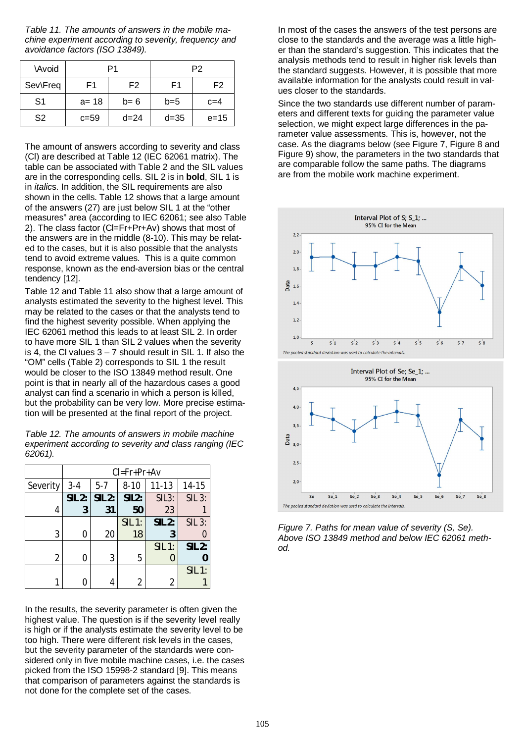<span id="page-6-0"></span>*Table 11. The amounts of answers in the mobile machine experiment according to severity, frequency and avoidance factors (ISO 13849).*

| \Avoid         | P1       |                | P <sub>2</sub> |                |
|----------------|----------|----------------|----------------|----------------|
| Sev\Freq       | F1       | F <sub>2</sub> | F1             | F <sub>2</sub> |
| S <sub>1</sub> | $a = 18$ | $b=6$          | $b=5$          | $c=4$          |
| S <sub>2</sub> | $c = 59$ | $d = 24$       | $d = 35$       | $e = 15$       |

The amount of answers according to severity and class (Cl) are described at [Table 12](#page-6-1) (IEC 62061 matrix). The table can be associated with [Table 2](#page-1-1) and the SIL values are in the corresponding cells. SIL 2 is in **bold**, SIL 1 is in *italic*s. In addition, the SIL requirements are also shown in the cells. [Table 12](#page-6-1) shows that a large amount of the answers (27) are just below SIL 1 at the "other measures" area (according to IEC 62061; see also [Table](#page-1-1) [2\)](#page-1-1). The class factor (Cl=Fr+Pr+Av) shows that most of the answers are in the middle (8-10). This may be related to the cases, but it is also possible that the analysts tend to avoid extreme values. This is a quite common response, known as the end-aversion bias or the central tendency [\[12\]](#page-8-9).

[Table 12](#page-6-1) and [Table 11](#page-6-0) also show that a large amount of analysts estimated the severity to the highest level. This may be related to the cases or that the analysts tend to find the highest severity possible. When applying the IEC 62061 method this leads to at least SIL 2. In order to have more SIL 1 than SIL 2 values when the severity is 4, the CI values  $3 - 7$  should result in SIL 1. If also the "OM" cells [\(Table 2](#page-1-1)) corresponds to SIL 1 the result would be closer to the ISO 13849 method result. One point is that in nearly all of the hazardous cases a good analyst can find a scenario in which a person is killed, but the probability can be very low. More precise estimation will be presented at the final report of the project.

<span id="page-6-1"></span>*Table 12. The amounts of answers in mobile machine experiment according to severity and class ranging (IEC 62061).*

|          | $Cl = Fr + Pr + Av$ |          |          |                    |               |
|----------|---------------------|----------|----------|--------------------|---------------|
| Severity | $3 - 4$             | $5 - 7$  | $8 - 10$ | $11 - 13$          | 14-15         |
|          | <b>SIL 2:</b>       | $SIL$ 2: | SIL2:    | SIL <sub>3</sub> : | <b>SIL 3:</b> |
| 4        | 3                   | 31       | 50       | 23                 |               |
|          |                     |          | SIL 1:   | <b>SIL 2:</b>      | <b>SIL 3:</b> |
| 3        | 0                   | 20       | 18       | 3                  |               |
|          |                     |          |          | SIL 1:             | <b>SIL 2:</b> |
| 2        | 0                   | 3        | 5        |                    |               |
|          |                     |          |          |                    | $SIL$ 1:      |
|          |                     |          | 2        |                    |               |

In the results, the severity parameter is often given the highest value. The question is if the severity level really is high or if the analysts estimate the severity level to be too high. There were different risk levels in the cases, but the severity parameter of the standards were considered only in five mobile machine cases, i.e. the cases picked from the ISO 15998-2 standard [\[9\].](#page-8-5) This means that comparison of parameters against the standards is not done for the complete set of the cases.

In most of the cases the answers of the test persons are close to the standards and the average was a little higher than the standard's suggestion. This indicates that the analysis methods tend to result in higher risk levels than the standard suggests. However, it is possible that more available information for the analysts could result in values closer to the standards.

Since the two standards use different number of parameters and different texts for guiding the parameter value selection, we might expect large differences in the parameter value assessments. This is, however, not the case. As the diagrams below (see [Figure 7](#page-6-2), [Figure 8](#page-7-0) and [Figure 9](#page-7-1)) show, the parameters in the two standards that are comparable follow the same paths. The diagrams are from the mobile work machine experiment.



<span id="page-6-2"></span>*Figure 7. Paths for mean value of severity (S, Se). Above ISO 13849 method and below IEC 62061 method.*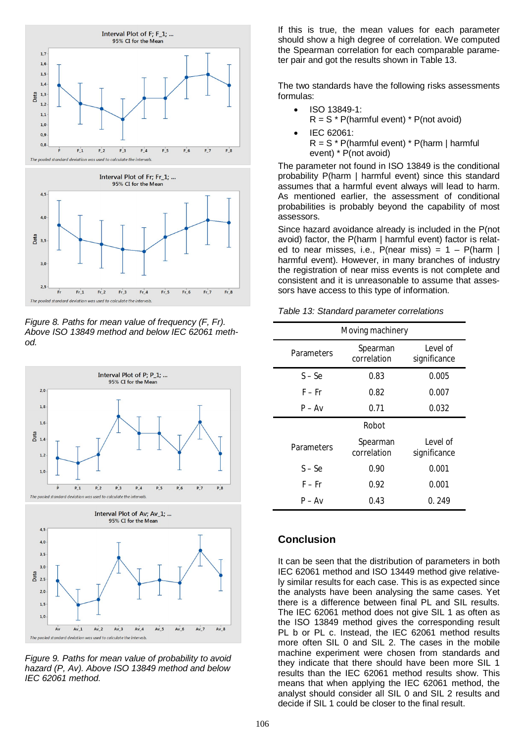



<span id="page-7-0"></span>*Figure 8. Paths for mean value of frequency (F, Fr). Above ISO 13849 method and below IEC 62061 method.*



<span id="page-7-1"></span>*Figure 9. Paths for mean value of probability to avoid hazard (P, Av). Above ISO 13849 method and below IEC 62061 method.*

If this is true, the mean values for each parameter should show a high degree of correlation. We computed the Spearman correlation for each comparable parameter pair and got the results shown in [Table 13](#page-7-2).

The two standards have the following risks assessments formulas:

- $\bullet$  ISO 13849-1:  $R = S * P$ (harmful event) \* P(not avoid)
- x IEC 62061:  $R = S * P$ (harmful event) \* P(harm | harmful event) \* P(not avoid)

The parameter not found in ISO 13849 is the conditional probability P(harm | harmful event) since this standard assumes that a harmful event always will lead to harm. As mentioned earlier, the assessment of conditional probabilities is probably beyond the capability of most assessors.

Since hazard avoidance already is included in the P(not avoid) factor, the P(harm | harmful event) factor is related to near misses, i.e.,  $P(near miss) = 1 - P(narm)$ harmful event). However, in many branches of industry the registration of near miss events is not complete and consistent and it is unreasonable to assume that assessors have access to this type of information.

<span id="page-7-2"></span>

| Table 13: Standard parameter correlations |
|-------------------------------------------|
|-------------------------------------------|

| Moving machinery |                         |                          |  |  |  |
|------------------|-------------------------|--------------------------|--|--|--|
| Parameters       | Spearman<br>correlation | Level of<br>significance |  |  |  |
| $S - Se$         | 0.83                    | 0.005                    |  |  |  |
| $F - Fr$         | 0.82                    | 0.007                    |  |  |  |
| $P - Av$         | 0.71                    | 0.032                    |  |  |  |
| Robot            |                         |                          |  |  |  |
| Parameters       | Spearman<br>correlation | Level of<br>significance |  |  |  |
| $S - Se$         | 0.90                    | 0.001                    |  |  |  |
| F – Fr           | 0.92                    | 0.001                    |  |  |  |
| $P - Av$         | 0.43                    | 0.249                    |  |  |  |

## **Conclusion**

It can be seen that the distribution of parameters in both IEC 62061 method and ISO 13449 method give relatively similar results for each case. This is as expected since the analysts have been analysing the same cases. Yet there is a difference between final PL and SIL results. The IEC 62061 method does not give SIL 1 as often as the ISO 13849 method gives the corresponding result PL b or PL c. Instead, the IEC 62061 method results more often SIL 0 and SIL 2. The cases in the mobile machine experiment were chosen from standards and they indicate that there should have been more SIL 1 results than the IEC 62061 method results show. This means that when applying the IEC 62061 method, the analyst should consider all SIL 0 and SIL 2 results and decide if SIL 1 could be closer to the final result.